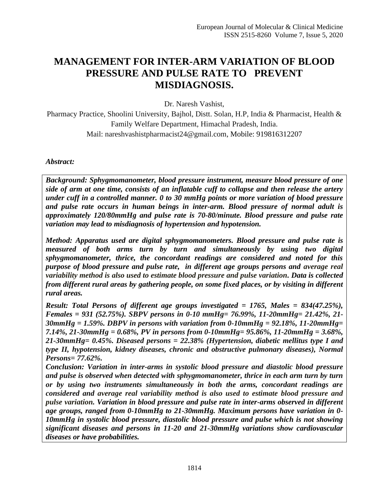# **MANAGEMENT FOR INTER-ARM VARIATION OF BLOOD PRESSURE AND PULSE RATE TO PREVENT MISDIAGNOSIS.**

Dr. Naresh Vashist,

Pharmacy Practice, Shoolini University, Bajhol, Distt. Solan, H.P, India & Pharmacist, Health & Family Welfare Department, Himachal Pradesh, India. Mail: nareshvashistpharmacist24@gmail.com, Mobile: 919816312207

#### *Abstract:*

*Background: Sphygmomanometer, blood pressure instrument, measure blood pressure of one side of arm at one time, consists of an inflatable cuff to collapse and then release the artery under cuff in a controlled manner. 0 to 30 mmHg points or more variation of blood pressure and pulse rate occurs in human beings in inter-arm. Blood pressure of normal adult is approximately 120/80mmHg and pulse rate is 70-80/minute. Blood pressure and pulse rate variation may lead to misdiagnosis of hypertension and hypotension.*

*Method: Apparatus used are digital sphygmomanometers. Blood pressure and pulse rate is measured of both arms turn by turn and simultaneously by using two digital sphygmomanometer, thrice, the concordant readings are considered and noted for this purpose of blood pressure and pulse rate, in different age groups persons and average real variability method is also used to estimate blood pressure and pulse variation. Data is collected from different rural areas by gathering people, on some fixed places, or by visiting in different rural areas.* 

*Result: Total Persons of different age groups investigated = 1765, Males = 834(47.25%), Females = 931 (52.75%). SBPV persons in 0-10 mmHg= 76.99%, 11-20mmHg= 21.42%, 21- 30mmHg = 1.59%. DBPV in persons with variation from 0-10mmHg = 92.18%, 11-20mmHg= 7.14%, 21-30mmHg = 0.68%, PV in persons from 0-10mmHg= 95.86%, 11-20mmHg = 3.68%, 21-30mmHg= 0.45%. Diseased persons = 22.38% (Hypertension, diabetic mellitus type I and type II, hypotension, kidney diseases, chronic and obstructive pulmonary diseases), Normal Persons= 77.62%.* 

*Conclusion: Variation in inter-arms in systolic blood pressure and diastolic blood pressure and pulse is observed when detected with sphygmomanometer, thrice in each arm turn by turn or by using two instruments simultaneously in both the arms, concordant readings are considered and average real variability method is also used to estimate blood pressure and pulse variation. Variation in blood pressure and pulse rate in inter-arms observed in different age groups, ranged from 0-10mmHg to 21-30mmHg. Maximum persons have variation in 0- 10mmHg in systolic blood pressure, diastolic blood pressure and pulse which is not showing significant diseases and persons in 11-20 and 21-30mmHg variations show cardiovascular diseases or have probabilities.*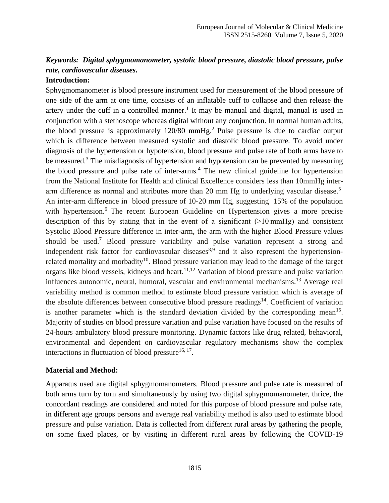## *Keywords: Digital sphygmomanometer, systolic blood pressure, diastolic blood pressure, pulse rate, cardiovascular diseases.*

#### **Introduction:**

Sphygmomanometer is blood pressure instrument used for measurement of the blood pressure of one side of the arm at one time, consists of an inflatable cuff to collapse and then release the artery under the cuff in a controlled manner.<sup>1</sup> It may be manual and digital, manual is used in conjunction with a stethoscope whereas digital without any conjunction. In normal human adults, the blood pressure is approximately  $120/80$  mmHg.<sup>2</sup> Pulse pressure is due to cardiac output which is difference between measured systolic and diastolic blood pressure. To avoid under diagnosis of the hypertension or hypotension, blood pressure and pulse rate of both arms have to be measured.<sup>3</sup> The misdiagnosis of hypertension and hypotension can be prevented by measuring the blood pressure and pulse rate of inter-arms. <sup>4</sup> The new clinical guideline for hypertension from the National Institute for Health and clinical Excellence considers less than 10mmHg interarm difference as normal and attributes more than 20 mm Hg to underlying vascular disease.<sup>5</sup> An inter-arm difference in blood pressure of 10-20 mm Hg, suggesting 15% of the population with hypertension.<sup>6</sup> The recent European Guideline on Hypertension gives a more precise description of this by stating that in the event of a significant (>10 mmHg) and consistent Systolic Blood Pressure difference in inter-arm, the arm with the higher Blood Pressure values should be used.<sup>7</sup> Blood pressure variability and pulse variation represent a strong and independent risk factor for cardiovascular diseases<sup>8,9</sup> and it also represent the hypertensionrelated mortality and morbadity<sup>10</sup>. Blood pressure variation may lead to the damage of the target organs like blood vessels, kidneys and heart.<sup>11,12</sup> Variation of blood pressure and pulse variation influences autonomic, neural, humoral, vascular and environmental mechanisms.<sup>13</sup> Average real variability method is common method to estimate blood pressure variation which is average of the absolute differences between consecutive blood pressure readings<sup>14</sup>. Coefficient of variation is another parameter which is the standard deviation divided by the corresponding mean<sup>15</sup>. Majority of studies on blood pressure variation and pulse variation have focused on the results of 24-hours ambulatory blood pressure monitoring. Dynamic factors like drug related, behavioral, environmental and dependent on cardiovascular regulatory mechanisms show the complex interactions in fluctuation of blood pressure $^{16, 17}$ .

#### **Material and Method:**

Apparatus used are digital sphygmomanometers. Blood pressure and pulse rate is measured of both arms turn by turn and simultaneously by using two digital sphygmomanometer, thrice, the concordant readings are considered and noted for this purpose of blood pressure and pulse rate, in different age groups persons and average real variability method is also used to estimate blood pressure and pulse variation. Data is collected from different rural areas by gathering the people, on some fixed places, or by visiting in different rural areas by following the COVID-19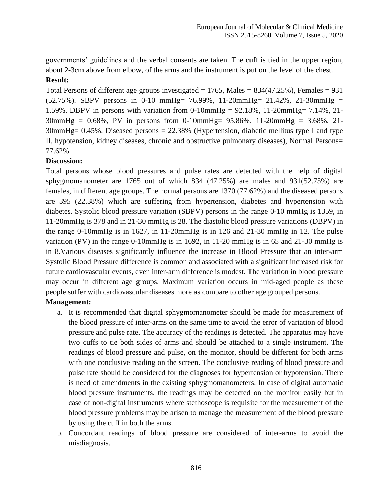governments' guidelines and the verbal consents are taken. The cuff is tied in the upper region, about 2-3cm above from elbow, of the arms and the instrument is put on the level of the chest.

#### **Result:**

Total Persons of different age groups investigated  $= 1765$ , Males  $= 834(47.25\%)$ , Females  $= 931$ (52.75%). SBPV persons in 0-10 mmHg= 76.99%, 11-20mmHg= 21.42%, 21-30mmHg = 1.59%. DBPV in persons with variation from 0-10mmHg = 92.18%, 11-20mmHg= 7.14%, 21- 30mmHg = 0.68%, PV in persons from 0-10mmHg= 95.86%, 11-20mmHg = 3.68%, 21- 30mmHg= 0.45%. Diseased persons = 22.38% (Hypertension, diabetic mellitus type I and type II, hypotension, kidney diseases, chronic and obstructive pulmonary diseases), Normal Persons= 77.62%.

### **Discussion:**

Total persons whose blood pressures and pulse rates are detected with the help of digital sphygmomanometer are 1765 out of which 834 (47.25%) are males and 931(52.75%) are females, in different age groups. The normal persons are 1370 (77.62%) and the diseased persons are 395 (22.38%) which are suffering from hypertension, diabetes and hypertension with diabetes. Systolic blood pressure variation (SBPV) persons in the range 0-10 mmHg is 1359, in 11-20mmHg is 378 and in 21-30 mmHg is 28. The diastolic blood pressure variations (DBPV) in the range 0-10mmHg is in 1627, in 11-20mmHg is in 126 and 21-30 mmHg in 12. The pulse variation (PV) in the range 0-10mmHg is in 1692, in 11-20 mmHg is in 65 and 21-30 mmHg is in 8.Various diseases significantly influence the increase in Blood Pressure that an inter-arm Systolic Blood Pressure difference is common and associated with a significant increased risk for future cardiovascular events, even inter-arm difference is modest. The variation in blood pressure may occur in different age groups. Maximum variation occurs in mid-aged people as these people suffer with cardiovascular diseases more as compare to other age grouped persons.

### **Management:**

- a. It is recommended that digital sphygmomanometer should be made for measurement of the blood pressure of inter-arms on the same time to avoid the error of variation of blood pressure and pulse rate. The accuracy of the readings is detected. The apparatus may have two cuffs to tie both sides of arms and should be attached to a single instrument. The readings of blood pressure and pulse, on the monitor, should be different for both arms with one conclusive reading on the screen. The conclusive reading of blood pressure and pulse rate should be considered for the diagnoses for hypertension or hypotension. There is need of amendments in the existing sphygmomanometers. In case of digital automatic blood pressure instruments, the readings may be detected on the monitor easily but in case of non-digital instruments where stethoscope is requisite for the measurement of the blood pressure problems may be arisen to manage the measurement of the blood pressure by using the cuff in both the arms.
- b. Concordant readings of blood pressure are considered of inter-arms to avoid the misdiagnosis.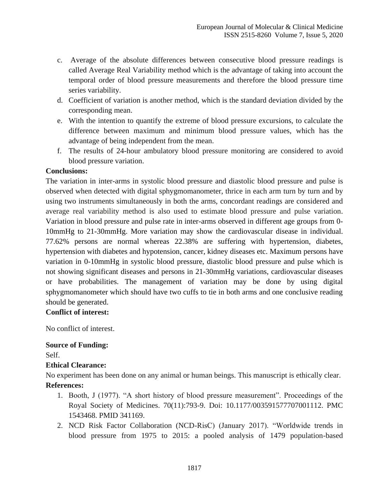- c. Average of the absolute differences between consecutive blood pressure readings is called Average Real Variability method which is the advantage of taking into account the temporal order of blood pressure measurements and therefore the blood pressure time series variability.
- d. Coefficient of variation is another method, which is the standard deviation divided by the corresponding mean.
- e. With the intention to quantify the extreme of blood pressure excursions, to calculate the difference between maximum and minimum blood pressure values, which has the advantage of being independent from the mean.
- f. The results of 24-hour ambulatory blood pressure monitoring are considered to avoid blood pressure variation.

### **Conclusions:**

The variation in inter-arms in systolic blood pressure and diastolic blood pressure and pulse is observed when detected with digital sphygmomanometer, thrice in each arm turn by turn and by using two instruments simultaneously in both the arms, concordant readings are considered and average real variability method is also used to estimate blood pressure and pulse variation. Variation in blood pressure and pulse rate in inter-arms observed in different age groups from 0- 10mmHg to 21-30mmHg. More variation may show the cardiovascular disease in individual. 77.62% persons are normal whereas 22.38% are suffering with hypertension, diabetes, hypertension with diabetes and hypotension, cancer, kidney diseases etc. Maximum persons have variation in 0-10mmHg in systolic blood pressure, diastolic blood pressure and pulse which is not showing significant diseases and persons in 21-30mmHg variations, cardiovascular diseases or have probabilities. The management of variation may be done by using digital sphygmomanometer which should have two cuffs to tie in both arms and one conclusive reading should be generated.

### **Conflict of interest:**

No conflict of interest.

## **Source of Funding:**

Self.

### **Ethical Clearance:**

No experiment has been done on any animal or human beings. This manuscript is ethically clear. **References:**

- 1. Booth, J (1977). "A short history of blood pressure measurement". Proceedings of the Royal Society of Medicines. 70(11):793-9. Doi: 10.1177/003591577707001112. PMC 1543468. PMID 341169.
- 2. NCD Risk Factor Collaboration (NCD-RisC) (January 2017). "Worldwide trends in blood pressure from 1975 to 2015: a pooled analysis of 1479 population-based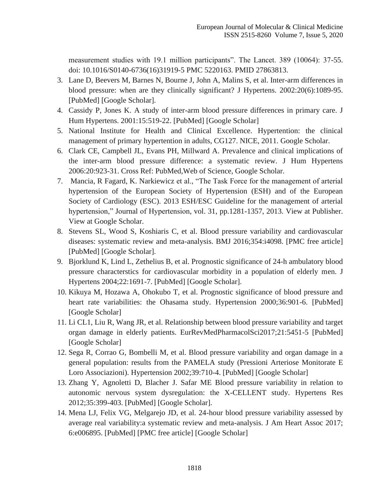measurement studies with 19.1 million participants". The Lancet. 389 (10064): 37-55. doi: 10.1016/S0140-6736(16)31919-5 PMC 5220163. PMID 27863813.

- 3. Lane D, Beevers M, Barnes N, Bourne J, John A, Malins S, et al. Inter-arm differences in blood pressure: when are they clinically significant? J Hypertens. 2002:20(6):1089-95. [PubMed] [Google Scholar].
- 4. Cassidy P, Jones K. A study of inter-arm blood pressure differences in primary care. J Hum Hypertens. 2001:15:519-22. [PubMed] [Google Scholar]
- 5. National Institute for Health and Clinical Excellence. Hypertention: the clinical management of primary hypertention in adults, CG127. NICE, 2011. Google Scholar.
- 6. Clark CE, Campbell JL, Evans PH, Millward A. Prevalence and clinical implications of the inter-arm blood pressure difference: a systematic review. J Hum Hypertens 2006:20:923-31. Cross Ref: PubMed,Web of Science, Google Scholar.
- 7. Mancia, R Fagard, K. Narkiewicz et al., "The Task Force for the management of arterial hypertension of the European Society of Hypertension (ESH) and of the European Society of Cardiology (ESC). 2013 ESH/ESC Guideline for the management of arterial hypertension," Journal of Hypertension, vol. 31, pp.1281-1357, 2013. View at Publisher. View at Google Scholar.
- 8. Stevens SL, Wood S, Koshiaris C, et al. Blood pressure variability and cardiovascular diseases: systematic review and meta-analysis. BMJ 2016;354:i4098. [PMC free article] [PubMed] [Google Scholar].
- 9. Bjorklund K, Lind L, Zethelius B, et al. Prognostic significance of 24-h ambulatory blood pressure characterstics for cardiovascular morbidity in a population of elderly men. J Hypertens 2004;22:1691-7. [PubMed] [Google Scholar].
- 10. Kikuya M, Hozawa A, Ohokubo T, et al. Prognostic significance of blood pressure and heart rate variabilities: the Ohasama study. Hypertension 2000;36:901-6. [PubMed] [Google Scholar]
- 11. Li CL1, Liu R, Wang JR, et al. Relationship between blood pressure variability and target organ damage in elderly patients. EurRevMedPharmacolSci2017;21:5451-5 [PubMed] [Google Scholar]
- 12. Sega R, Corrao G, Bombelli M, et al. Blood pressure variability and organ damage in a general population: results from the PAMELA study (Pressioni Arteriose Monitorate E Loro Associazioni). Hypertension 2002;39:710-4. [PubMed] [Google Scholar]
- 13. Zhang Y, Agnoletti D, Blacher J. Safar ME Blood pressure variability in relation to autonomic nervous system dysregulation: the X-CELLENT study. Hypertens Res 2012;35:399-403. [PubMed] [Google Scholar].
- 14. Mena LJ, Felix VG, Melgarejo JD, et al. 24-hour blood pressure variability assessed by average real variability:a systematic review and meta-analysis. J Am Heart Assoc 2017; 6:e006895. [PubMed] [PMC free article] [Google Scholar]